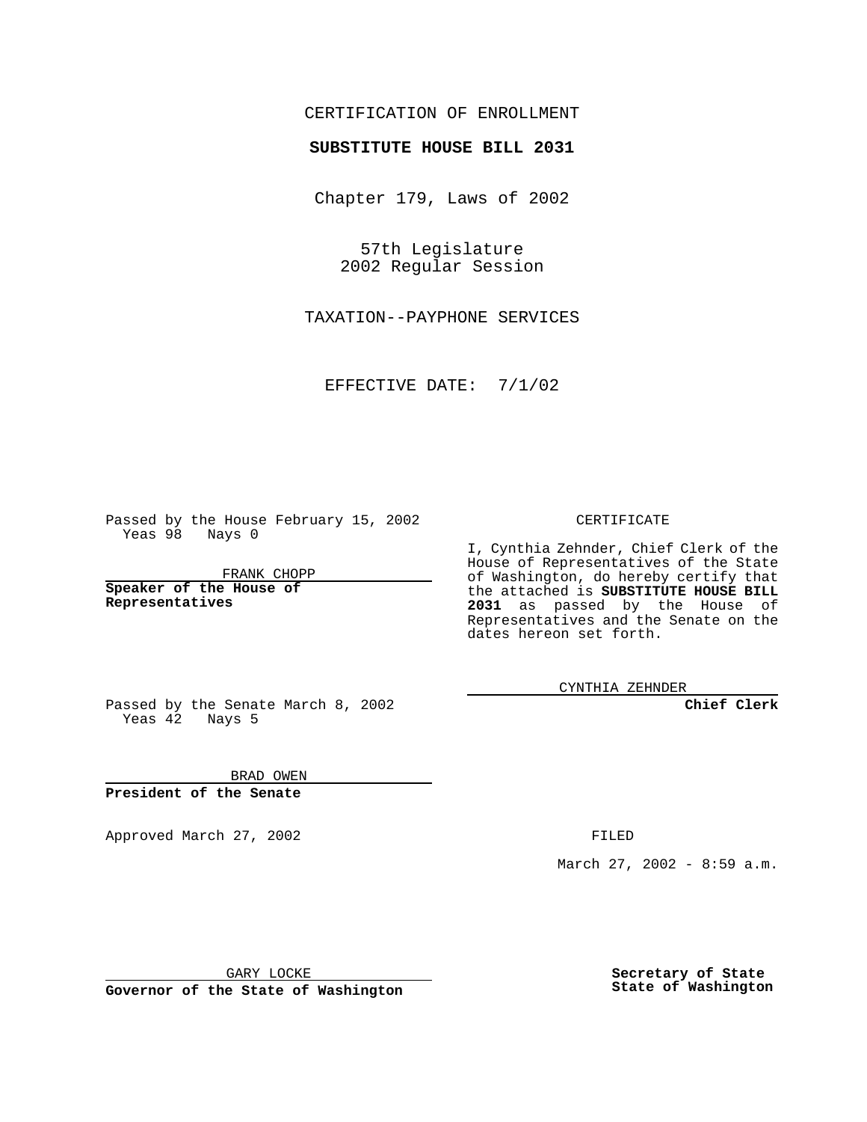## CERTIFICATION OF ENROLLMENT

## **SUBSTITUTE HOUSE BILL 2031**

Chapter 179, Laws of 2002

57th Legislature 2002 Regular Session

TAXATION--PAYPHONE SERVICES

EFFECTIVE DATE: 7/1/02

Passed by the House February 15, 2002 Yeas 98 Nays 0

FRANK CHOPP

**Speaker of the House of Representatives**

CERTIFICATE

I, Cynthia Zehnder, Chief Clerk of the House of Representatives of the State of Washington, do hereby certify that the attached is **SUBSTITUTE HOUSE BILL 2031** as passed by the House of Representatives and the Senate on the dates hereon set forth.

CYNTHIA ZEHNDER

**Chief Clerk**

Passed by the Senate March 8, 2002 Yeas  $42$  Nays 5

BRAD OWEN **President of the Senate**

Approved March 27, 2002 **FILED** 

March 27, 2002 - 8:59 a.m.

GARY LOCKE

**Governor of the State of Washington**

**Secretary of State State of Washington**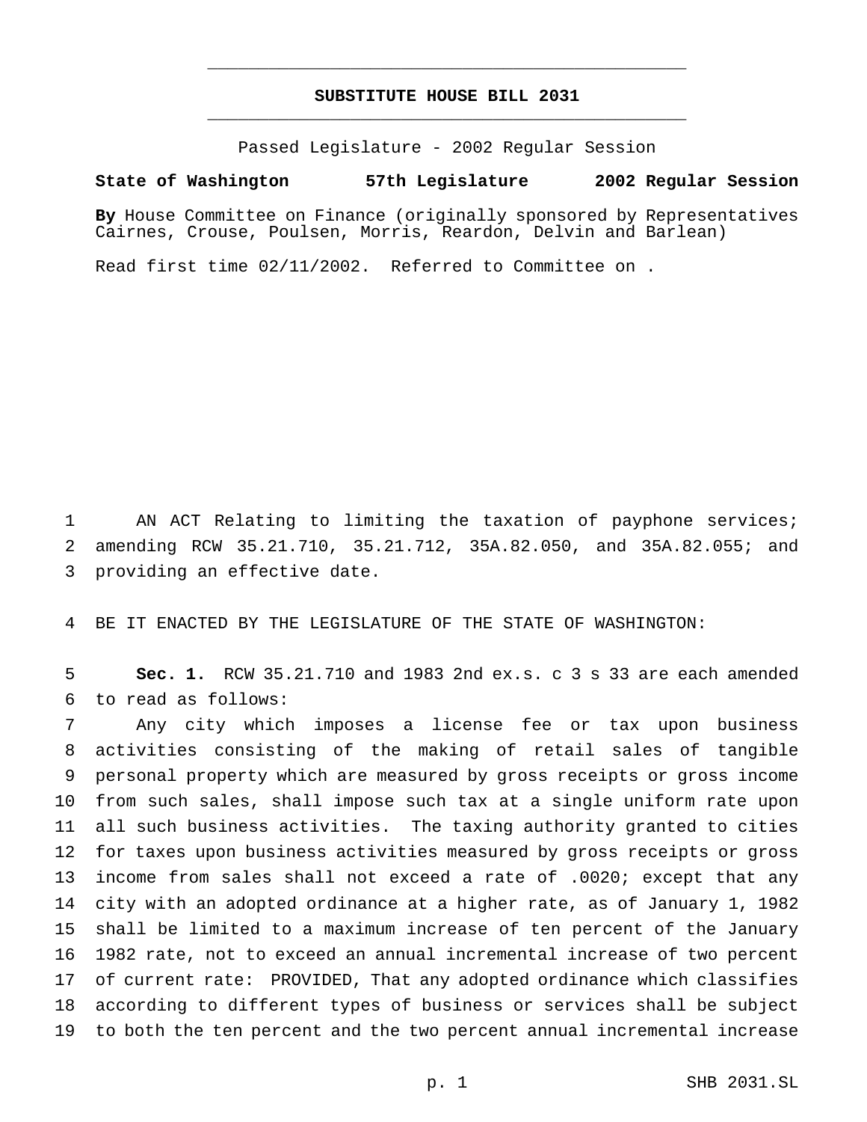## **SUBSTITUTE HOUSE BILL 2031** \_\_\_\_\_\_\_\_\_\_\_\_\_\_\_\_\_\_\_\_\_\_\_\_\_\_\_\_\_\_\_\_\_\_\_\_\_\_\_\_\_\_\_\_\_\_\_

\_\_\_\_\_\_\_\_\_\_\_\_\_\_\_\_\_\_\_\_\_\_\_\_\_\_\_\_\_\_\_\_\_\_\_\_\_\_\_\_\_\_\_\_\_\_\_

Passed Legislature - 2002 Regular Session

## **State of Washington 57th Legislature 2002 Regular Session**

**By** House Committee on Finance (originally sponsored by Representatives Cairnes, Crouse, Poulsen, Morris, Reardon, Delvin and Barlean)

Read first time 02/11/2002. Referred to Committee on .

 AN ACT Relating to limiting the taxation of payphone services; amending RCW 35.21.710, 35.21.712, 35A.82.050, and 35A.82.055; and providing an effective date.

BE IT ENACTED BY THE LEGISLATURE OF THE STATE OF WASHINGTON:

 **Sec. 1.** RCW 35.21.710 and 1983 2nd ex.s. c 3 s 33 are each amended to read as follows:

 Any city which imposes a license fee or tax upon business activities consisting of the making of retail sales of tangible personal property which are measured by gross receipts or gross income from such sales, shall impose such tax at a single uniform rate upon all such business activities. The taxing authority granted to cities for taxes upon business activities measured by gross receipts or gross income from sales shall not exceed a rate of .0020; except that any city with an adopted ordinance at a higher rate, as of January 1, 1982 shall be limited to a maximum increase of ten percent of the January 1982 rate, not to exceed an annual incremental increase of two percent of current rate: PROVIDED, That any adopted ordinance which classifies according to different types of business or services shall be subject to both the ten percent and the two percent annual incremental increase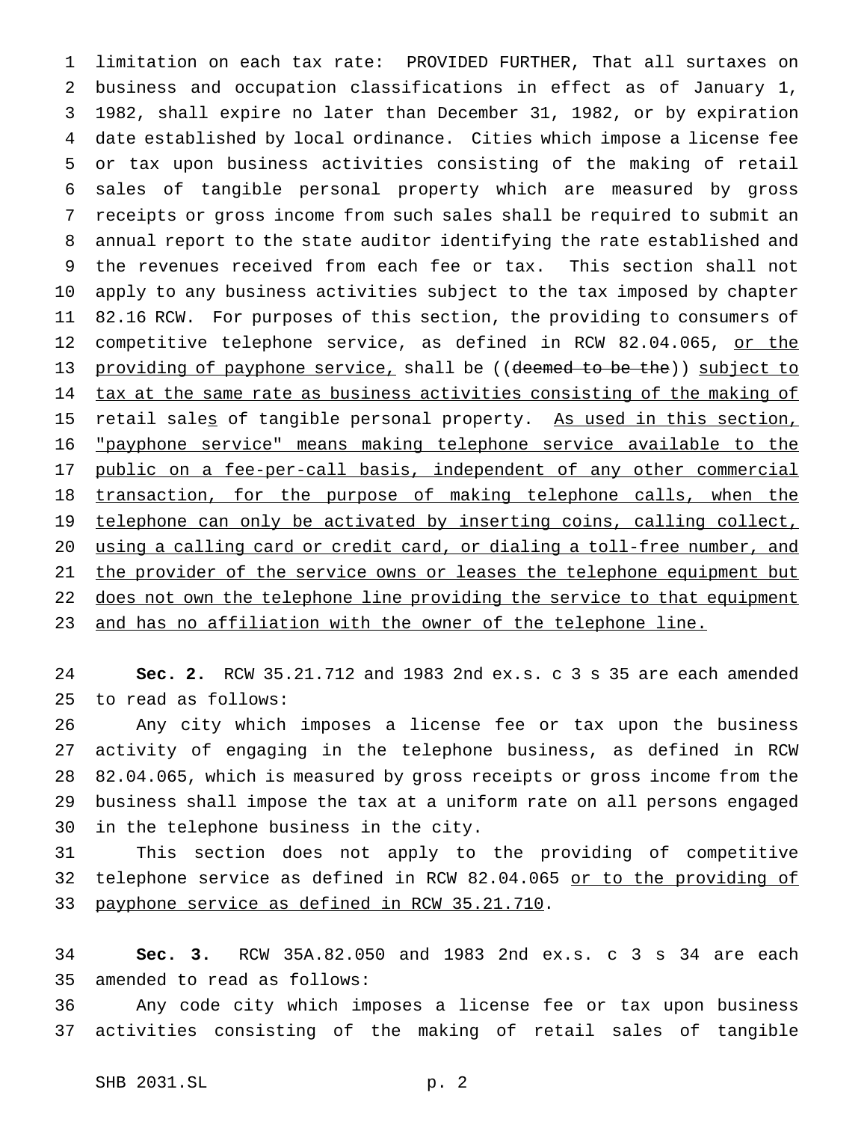limitation on each tax rate: PROVIDED FURTHER, That all surtaxes on business and occupation classifications in effect as of January 1, 1982, shall expire no later than December 31, 1982, or by expiration date established by local ordinance. Cities which impose a license fee or tax upon business activities consisting of the making of retail sales of tangible personal property which are measured by gross receipts or gross income from such sales shall be required to submit an annual report to the state auditor identifying the rate established and the revenues received from each fee or tax. This section shall not apply to any business activities subject to the tax imposed by chapter 82.16 RCW. For purposes of this section, the providing to consumers of 12 competitive telephone service, as defined in RCW 82.04.065, or the 13 providing of payphone service, shall be ((deemed to be the)) subject to 14 tax at the same rate as business activities consisting of the making of 15 retail sales of tangible personal property. As used in this section, "payphone service" means making telephone service available to the public on a fee-per-call basis, independent of any other commercial 18 transaction, for the purpose of making telephone calls, when the telephone can only be activated by inserting coins, calling collect, using a calling card or credit card, or dialing a toll-free number, and 21 the provider of the service owns or leases the telephone equipment but 22 does not own the telephone line providing the service to that equipment 23 and has no affiliation with the owner of the telephone line.

 **Sec. 2.** RCW 35.21.712 and 1983 2nd ex.s. c 3 s 35 are each amended to read as follows:

 Any city which imposes a license fee or tax upon the business activity of engaging in the telephone business, as defined in RCW 82.04.065, which is measured by gross receipts or gross income from the business shall impose the tax at a uniform rate on all persons engaged in the telephone business in the city.

 This section does not apply to the providing of competitive 32 telephone service as defined in RCW 82.04.065 or to the providing of 33 payphone service as defined in RCW 35.21.710.

 **Sec. 3.** RCW 35A.82.050 and 1983 2nd ex.s. c 3 s 34 are each amended to read as follows:

 Any code city which imposes a license fee or tax upon business activities consisting of the making of retail sales of tangible